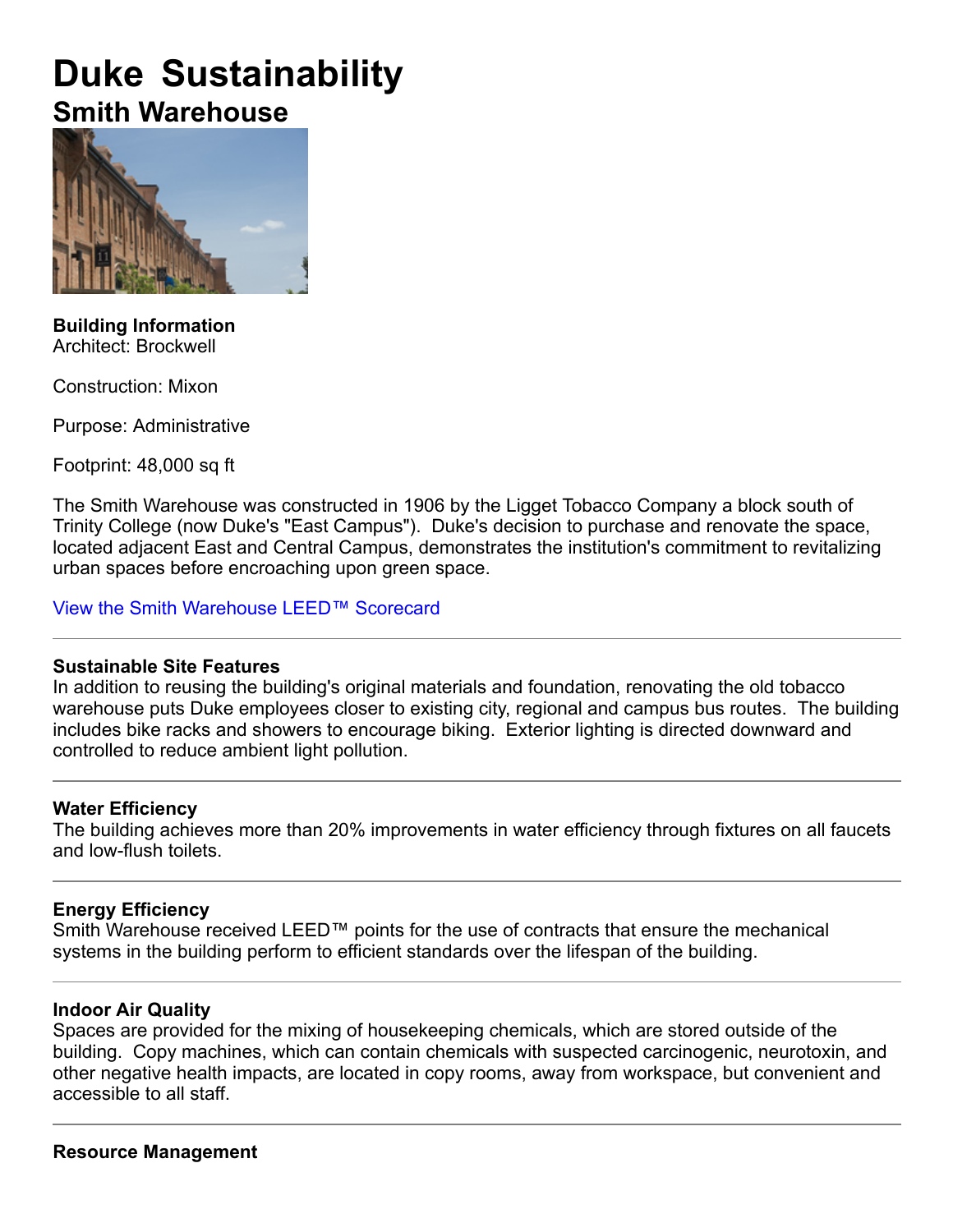# **Duke Sustainability Smith Warehouse**



**Building Information** Architect: Brockwell

Construction: Mixon

Purpose: Administrative

Footprint: 48,000 sq ft

The Smith Warehouse was constructed in 1906 by the Ligget Tobacco Company a block south of Trinity College (now Duke's "East Campus"). Duke's decision to purchase and renovate the space, located adjacent East and Central Campus, demonstrates the institution's commitment to revitalizing urban spaces before encroaching upon green space.

View the Smith Warehouse LEED™ Scorecard

#### **Sustainable Site Features**

In addition to reusing the building's original materials and foundation, renovating the old tobacco warehouse puts Duke employees closer to existing city, regional and campus bus routes. The building includes bike racks and showers to encourage biking. Exterior lighting is directed downward and controlled to reduce ambient light pollution.

## **Water Efficiency**

The building achieves more than 20% improvements in water efficiency through fixtures on all faucets and low-flush toilets.

## **Energy Efficiency**

Smith Warehouse received LEED™ points for the use of contracts that ensure the mechanical systems in the building perform to efficient standards over the lifespan of the building.

#### **Indoor Air Quality**

Spaces are provided for the mixing of housekeeping chemicals, which are stored outside of the building. Copy machines, which can contain chemicals with suspected carcinogenic, neurotoxin, and other negative health impacts, are located in copy rooms, away from workspace, but convenient and accessible to all staff.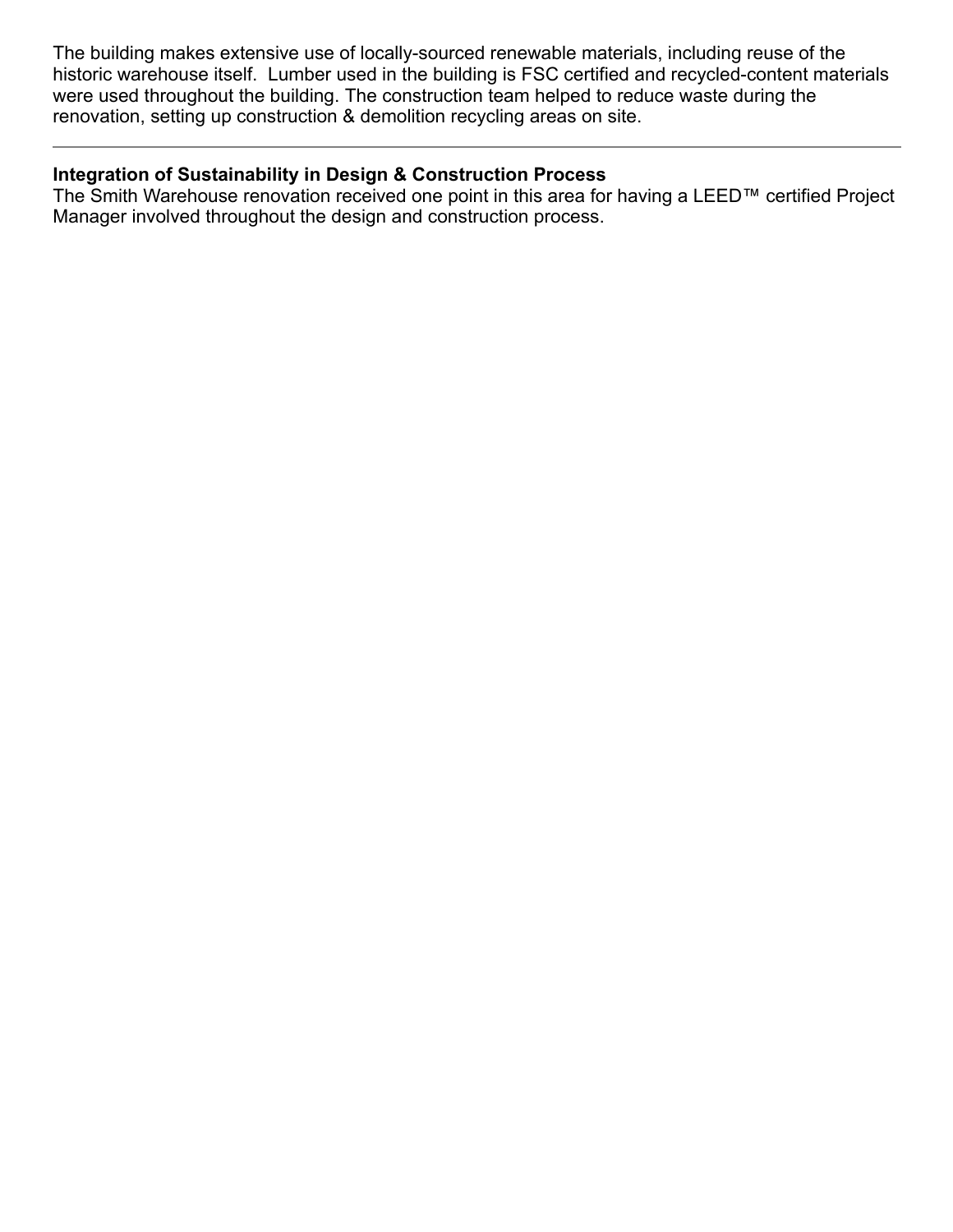The building makes extensive use of locally-sourced renewable materials, including reuse of the historic warehouse itself. Lumber used in the building is FSC certified and recycled-content materials were used throughout the building. The construction team helped to reduce waste during the renovation, setting up construction & demolition recycling areas on site.

#### **Integration of Sustainability in Design & Construction Process**

The Smith Warehouse renovation received one point in this area for having a LEED™ certified Project Manager involved throughout the design and construction process.